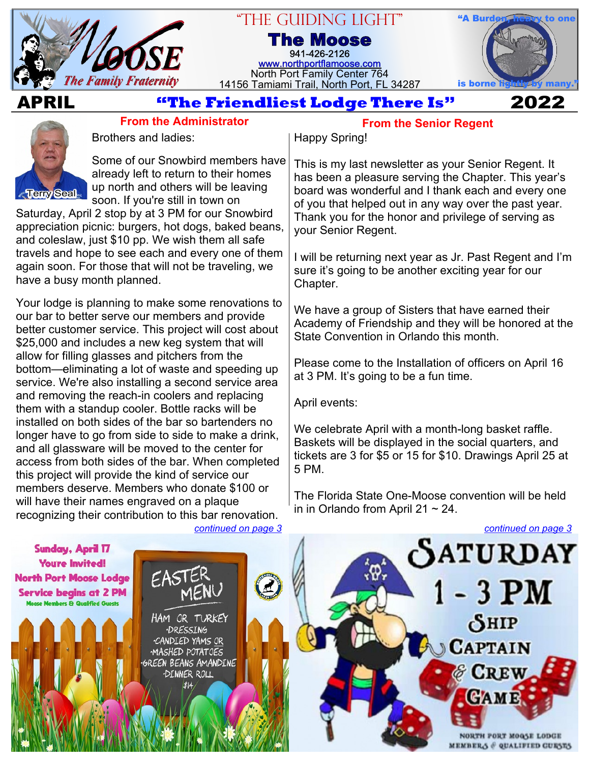

## "The Guiding Light"

**The Moose** 941-426-2126 [www.northportflamoose.com](https://www.northportflamoose.com) North Port Family Center 764 14156 Tamiami Trail, North Port, FL 34287



## **APRIL 2022**



**From the Administrator** Brothers and ladies:

Some of our Snowbird members have already left to return to their homes up north and others will be leaving soon. If you're still in town on

Saturday, April 2 stop by at 3 PM for our Snowbird appreciation picnic: burgers, hot dogs, baked beans, and coleslaw, just \$10 pp. We wish them all safe travels and hope to see each and every one of them again soon. For those that will not be traveling, we have a busy month planned.

Your lodge is planning to make some renovations to our bar to better serve our members and provide better customer service. This project will cost about \$25,000 and includes a new keg system that will allow for filling glasses and pitchers from the bottom—eliminating a lot of waste and speeding up service. We're also installing a second service area and removing the reach-in coolers and replacing them with a standup cooler. Bottle racks will be installed on both sides of the bar so bartenders no longer have to go from side to side to make a drink, and all glassware will be moved to the center for access from both sides of the bar. When completed this project will provide the kind of service our members deserve. Members who donate \$100 or will have their names engraved on a plaque recognizing their contribution to this bar renovation.

## **From the Senior Regent**

#### Happy Spring!

This is my last newsletter as your Senior Regent. It has been a pleasure serving the Chapter. This year's board was wonderful and I thank each and every one of you that helped out in any way over the past year. Thank you for the honor and privilege of serving as your Senior Regent.

I will be returning next year as Jr. Past Regent and I'm sure it's going to be another exciting year for our Chapter.

We have a group of Sisters that have earned their Academy of Friendship and they will be honored at the State Convention in Orlando this month.

Please come to the Installation of officers on April 16 at 3 PM. It's going to be a fun time.

April events:

We celebrate April with a month-long basket raffle. Baskets will be displayed in the social quarters, and tickets are 3 for \$5 or 15 for \$10. Drawings April 25 at 5 PM.

The Florida State One-Moose convention will be held in in Orlando from April 21  $\sim$  24.



*[continued on page 3](#page-2-0)*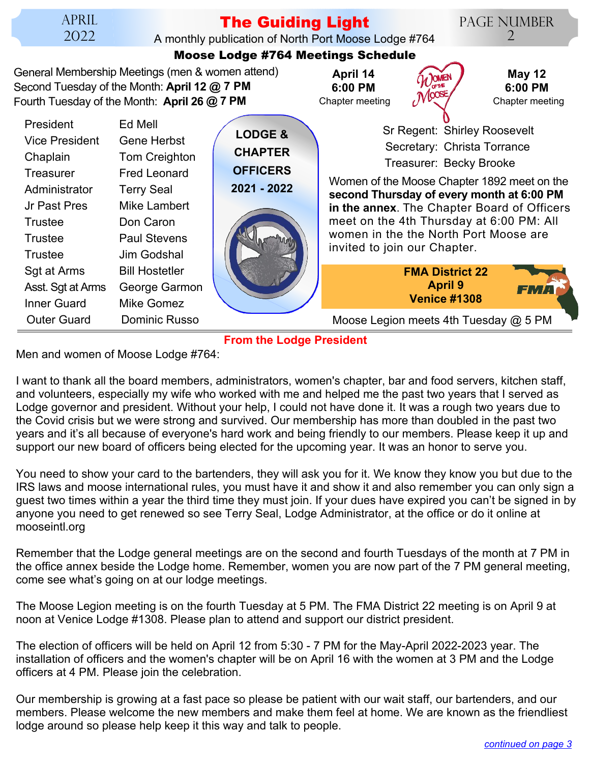# **The Guiding Light**

A monthly publication of North Port Moose Lodge #764

Page Number 2

#### **LODGE & CHAPTER OFFICERS 2021 - 2022** General Membership Meetings (men & women attend) Second Tuesday of the Month: **April 12 @ 7 PM** Fourth Tuesday of the Month: **April 26 @ 7 PM Moose Lodge #764 Meetings Schedule** Women of the Moose Chapter 1892 meet on the **second Thursday of every month at 6:00 PM in the annex**. The Chapter Board of Officers meet on the 4th Thursday at 6:00 PM: All women in the the North Port Moose are invited to join our Chapter. Sr Regent: Shirley Roosevelt Secretary: Christa Torrance Treasurer: Becky Brooke Chapter meeting **April 14 6:00 PM May 12 6:00 PM** Chapter meeting **FMA District 22 April 9 Venice #1308** President Ed Mell Vice President Gene Herbst Chaplain Tom Creighton Treasurer Fred Leonard Administrator Terry Seal Jr Past Pres Mike Lambert Trustee Don Caron Trustee Paul Stevens Trustee Jim Godshal Sqt at Arms Bill Hostetler Asst. Sgt at Arms George Garmon Inner Guard Mike Gomez Outer Guard Dominic Russo **Moose Legion meets 4th Tuesday @ 5 PM**

**From the Lodge President**

Men and women of Moose Lodge #764:

I want to thank all the board members, administrators, women's chapter, bar and food servers, kitchen staff, and volunteers, especially my wife who worked with me and helped me the past two years that I served as Lodge governor and president. Without your help, I could not have done it. It was a rough two years due to the Covid crisis but we were strong and survived. Our membership has more than doubled in the past two years and it's all because of everyone's hard work and being friendly to our members. Please keep it up and support our new board of officers being elected for the upcoming year. It was an honor to serve you.

You need to show your card to the bartenders, they will ask you for it. We know they know you but due to the IRS laws and moose international rules, you must have it and show it and also remember you can only sign a guest two times within a year the third time they must join. If your dues have expired you can't be signed in by anyone you need to get renewed so see Terry Seal, Lodge Administrator, at the office or do it online at mooseintl.org

Remember that the Lodge general meetings are on the second and fourth Tuesdays of the month at 7 PM in the office annex beside the Lodge home. Remember, women you are now part of the 7 PM general meeting, come see what's going on at our lodge meetings.

The Moose Legion meeting is on the fourth Tuesday at 5 PM. The FMA District 22 meeting is on April 9 at noon at Venice Lodge #1308. Please plan to attend and support our district president.

The election of officers will be held on April 12 from 5:30 - 7 PM for the May-April 2022-2023 year. The installation of officers and the women's chapter will be on April 16 with the women at 3 PM and the Lodge officers at 4 PM. Please join the celebration.

Our membership is growing at a fast pace so please be patient with our wait staff, our bartenders, and our members. Please welcome the new members and make them feel at home. We are known as the friendliest lodge around so please help keep it this way and talk to people.